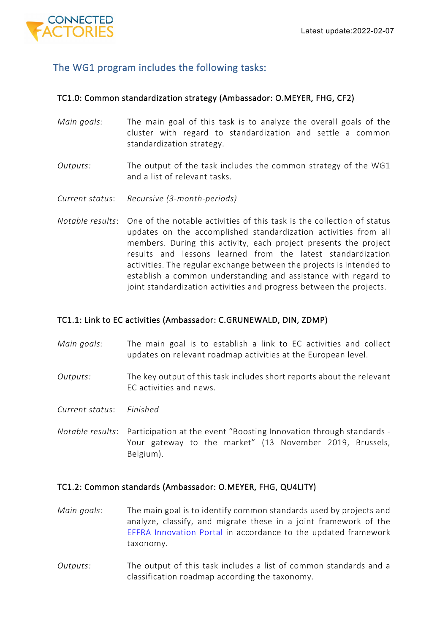

# The WG1 program includes the following tasks:

### TC1.0: Common standardization strategy (Ambassador: O.MEYER, FHG, CF2)

- *Main goals:* The main goal of this task is to analyze the overall goals of the cluster with regard to standardization and settle a common standardization strategy.
- *Outputs:* The output of the task includes the common strategy of the WG1 and a list of relevant tasks.
- *Current status*: *Recursive (3-month-periods)*
- *Notable results*: One of the notable activities of this task is the collection of status updates on the accomplished standardization activities from all members. During this activity, each project presents the project results and lessons learned from the latest standardization activities. The regular exchange between the projects is intended to establish a common understanding and assistance with regard to joint standardization activities and progress between the projects.

## TC1.1: Link to EC activities (Ambassador: C.GRUNEWALD, DIN, ZDMP)

- *Main goals:* The main goal is to establish a link to EC activities and collect updates on relevant roadmap activities at the European level.
- *Outputs:* The key output of this task includes short reports about the relevant EC activities and news.
- *Current status*: *Finished*
- *Notable results*: Participation at the event "Boosting Innovation through standards Your gateway to the market" (13 November 2019, Brussels, Belgium).

### TC1.2: Common standards (Ambassador: O.MEYER, FHG, QU4LITY)

- *Main goals:* The main goal is to identify common standards used by projects and analyze, classify, and migrate these in a joint framework of the [EFFRA Innovation Portal](https://portal.effra.eu/panel/2) in accordance to the updated framework taxonomy.
- *Outputs:* The output of this task includes a list of common standards and a classification roadmap according the taxonomy.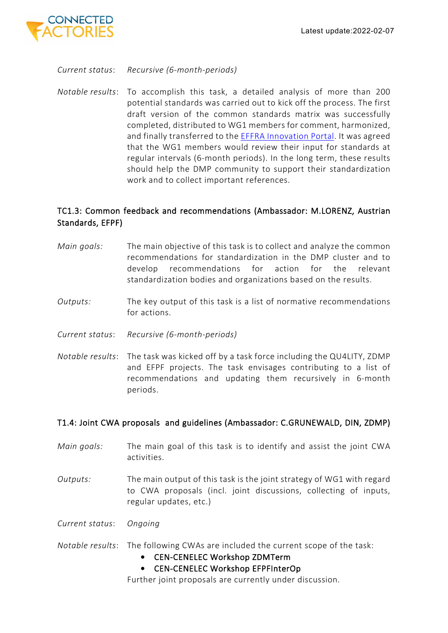

*Current status*: *Recursive (6-month-periods)*

*Notable results*: To accomplish this task, a detailed analysis of more than 200 potential standards was carried out to kick off the process. The first draft version of the common standards matrix was successfully completed, distributed to WG1 members for comment, harmonized, and finally transferred to the [EFFRA Innovation Portal.](https://portal.effra.eu/panel/2) It was agreed that the WG1 members would review their input for standards at regular intervals (6-month periods). In the long term, these results should help the DMP community to support their standardization work and to collect important references.

## TC1.3: Common feedback and recommendations (Ambassador: M.LORENZ, Austrian Standards, EFPF)

- *Main goals:* The main objective of this task is to collect and analyze the common recommendations for standardization in the DMP cluster and to develop recommendations for action for the relevant standardization bodies and organizations based on the results.
- *Outputs:* The key output of this task is a list of normative recommendations for actions.
- *Current status*: *Recursive (6-month-periods)*
- *Notable results*: The task was kicked off by a task force including the QU4LITY, ZDMP and EFPF projects. The task envisages contributing to a list of recommendations and updating them recursively in 6-month periods.

## T1.4: Joint CWA proposals and guidelines (Ambassador: C.GRUNEWALD, DIN, ZDMP)

- *Main goals:* The main goal of this task is to identify and assist the joint CWA activities.
- *Outputs:* The main output of this task is the joint strategy of WG1 with regard to CWA proposals (incl. joint discussions, collecting of inputs, regular updates, etc.)
- *Current status*: *Ongoing*
- *Notable results*: The following CWAs are included the current scope of the task:
	- CEN-CENELEC Workshop ZDMTerm
	- CEN-CENELEC Workshop EFPFInterOp

Further joint proposals are currently under discussion.